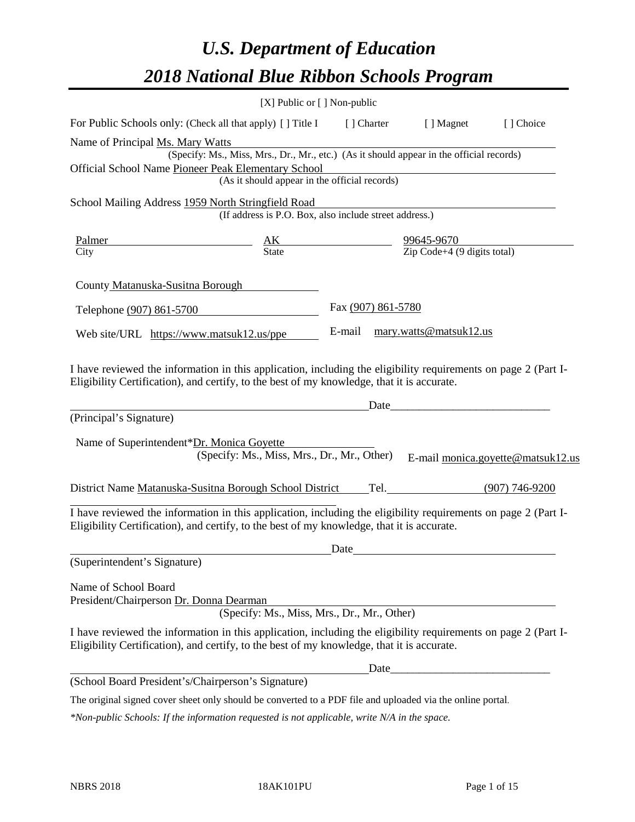# *U.S. Department of Education 2018 National Blue Ribbon Schools Program*

|                                                                                                                                                                                                              | [X] Public or [] Non-public                                                              |                                                                                                  |                        |                                   |
|--------------------------------------------------------------------------------------------------------------------------------------------------------------------------------------------------------------|------------------------------------------------------------------------------------------|--------------------------------------------------------------------------------------------------|------------------------|-----------------------------------|
| For Public Schools only: (Check all that apply) [] Title I                                                                                                                                                   |                                                                                          | [ ] Charter                                                                                      | [ ] Magnet             | [] Choice                         |
| Name of Principal Ms. Mary Watts                                                                                                                                                                             |                                                                                          |                                                                                                  |                        |                                   |
|                                                                                                                                                                                                              | (Specify: Ms., Miss, Mrs., Dr., Mr., etc.) (As it should appear in the official records) |                                                                                                  |                        |                                   |
| Official School Name Pioneer Peak Elementary School                                                                                                                                                          |                                                                                          |                                                                                                  |                        |                                   |
|                                                                                                                                                                                                              | (As it should appear in the official records)                                            |                                                                                                  |                        |                                   |
| School Mailing Address 1959 North Stringfield Road                                                                                                                                                           | (If address is P.O. Box, also include street address.)                                   |                                                                                                  |                        |                                   |
| Palmer                                                                                                                                                                                                       |                                                                                          | $\frac{\text{AK}}{\text{State}}$ $\frac{99645-9670}{\text{Zip Code}+4 (9 \text{ digits total})}$ |                        |                                   |
| City                                                                                                                                                                                                         |                                                                                          |                                                                                                  |                        |                                   |
| County Matanuska-Susitna Borough                                                                                                                                                                             |                                                                                          |                                                                                                  |                        |                                   |
| Telephone (907) 861-5700                                                                                                                                                                                     |                                                                                          | Fax (907) 861-5780                                                                               |                        |                                   |
| Web site/URL https://www.matsuk12.us/ppe                                                                                                                                                                     |                                                                                          | E-mail                                                                                           | mary.watts@matsuk12.us |                                   |
| (Principal's Signature)<br>Name of Superintendent*Dr. Monica Goyette                                                                                                                                         | (Specify: Ms., Miss, Mrs., Dr., Mr., Other)                                              |                                                                                                  | Date                   |                                   |
| District Name Matanuska-Susitna Borough School District                                                                                                                                                      |                                                                                          |                                                                                                  | Tel. (907) 746-9200    | E-mail monica.goyette@matsuk12.us |
|                                                                                                                                                                                                              |                                                                                          |                                                                                                  |                        |                                   |
| I have reviewed the information in this application, including the eligibility requirements on page 2 (Part I-<br>Eligibility Certification), and certify, to the best of my knowledge, that it is accurate. |                                                                                          |                                                                                                  |                        |                                   |
|                                                                                                                                                                                                              |                                                                                          | Date                                                                                             |                        |                                   |
| (Superintendent's Signature)                                                                                                                                                                                 |                                                                                          |                                                                                                  |                        |                                   |
| Name of School Board<br>President/Chairperson Dr. Donna Dearman                                                                                                                                              | (Specify: Ms., Miss, Mrs., Dr., Mr., Other)                                              |                                                                                                  |                        |                                   |
| I have reviewed the information in this application, including the eligibility requirements on page 2 (Part I-<br>Eligibility Certification), and certify, to the best of my knowledge, that it is accurate. |                                                                                          |                                                                                                  |                        |                                   |
|                                                                                                                                                                                                              |                                                                                          |                                                                                                  |                        |                                   |
| (School Board President's/Chairperson's Signature)                                                                                                                                                           |                                                                                          |                                                                                                  |                        |                                   |

The original signed cover sheet only should be converted to a PDF file and uploaded via the online portal.

*\*Non-public Schools: If the information requested is not applicable, write N/A in the space.*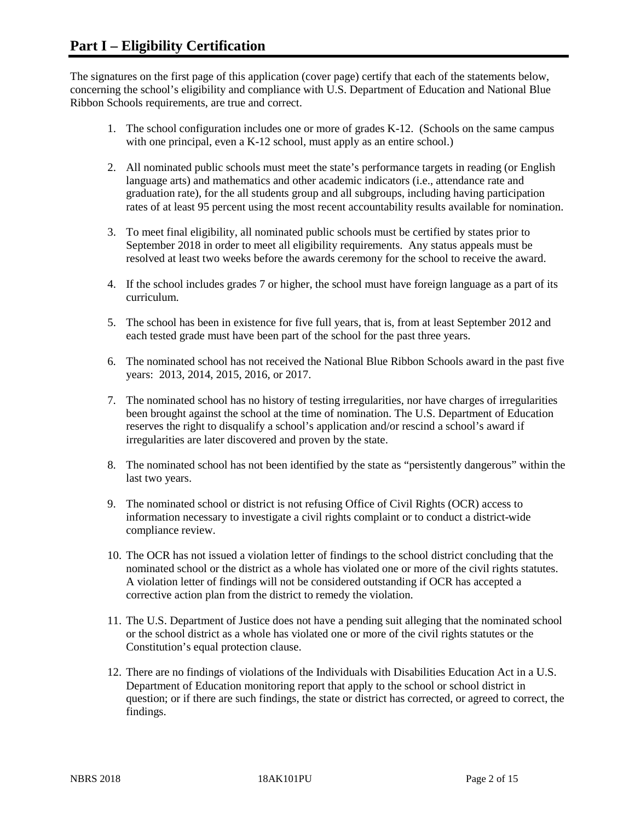The signatures on the first page of this application (cover page) certify that each of the statements below, concerning the school's eligibility and compliance with U.S. Department of Education and National Blue Ribbon Schools requirements, are true and correct.

- 1. The school configuration includes one or more of grades K-12. (Schools on the same campus with one principal, even a K-12 school, must apply as an entire school.)
- 2. All nominated public schools must meet the state's performance targets in reading (or English language arts) and mathematics and other academic indicators (i.e., attendance rate and graduation rate), for the all students group and all subgroups, including having participation rates of at least 95 percent using the most recent accountability results available for nomination.
- 3. To meet final eligibility, all nominated public schools must be certified by states prior to September 2018 in order to meet all eligibility requirements. Any status appeals must be resolved at least two weeks before the awards ceremony for the school to receive the award.
- 4. If the school includes grades 7 or higher, the school must have foreign language as a part of its curriculum.
- 5. The school has been in existence for five full years, that is, from at least September 2012 and each tested grade must have been part of the school for the past three years.
- 6. The nominated school has not received the National Blue Ribbon Schools award in the past five years: 2013, 2014, 2015, 2016, or 2017.
- 7. The nominated school has no history of testing irregularities, nor have charges of irregularities been brought against the school at the time of nomination. The U.S. Department of Education reserves the right to disqualify a school's application and/or rescind a school's award if irregularities are later discovered and proven by the state.
- 8. The nominated school has not been identified by the state as "persistently dangerous" within the last two years.
- 9. The nominated school or district is not refusing Office of Civil Rights (OCR) access to information necessary to investigate a civil rights complaint or to conduct a district-wide compliance review.
- 10. The OCR has not issued a violation letter of findings to the school district concluding that the nominated school or the district as a whole has violated one or more of the civil rights statutes. A violation letter of findings will not be considered outstanding if OCR has accepted a corrective action plan from the district to remedy the violation.
- 11. The U.S. Department of Justice does not have a pending suit alleging that the nominated school or the school district as a whole has violated one or more of the civil rights statutes or the Constitution's equal protection clause.
- 12. There are no findings of violations of the Individuals with Disabilities Education Act in a U.S. Department of Education monitoring report that apply to the school or school district in question; or if there are such findings, the state or district has corrected, or agreed to correct, the findings.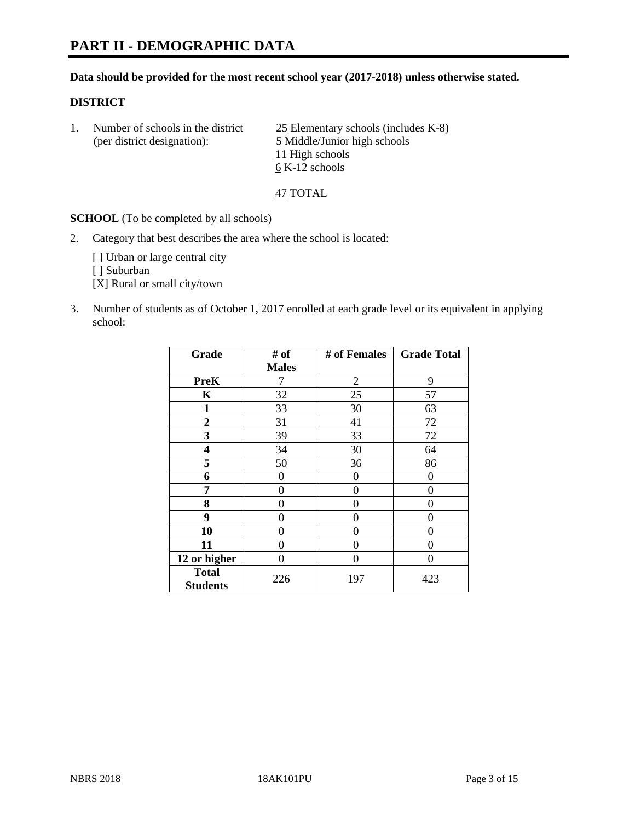# **PART II - DEMOGRAPHIC DATA**

#### **Data should be provided for the most recent school year (2017-2018) unless otherwise stated.**

#### **DISTRICT**

1. Number of schools in the district  $\frac{25}{25}$  Elementary schools (includes K-8) (per district designation): 5 Middle/Junior high schools 11 High schools 6 K-12 schools

47 TOTAL

**SCHOOL** (To be completed by all schools)

2. Category that best describes the area where the school is located:

[] Urban or large central city

[ ] Suburban

[X] Rural or small city/town

3. Number of students as of October 1, 2017 enrolled at each grade level or its equivalent in applying school:

| Grade                           | # of         | # of Females   | <b>Grade Total</b> |
|---------------------------------|--------------|----------------|--------------------|
|                                 | <b>Males</b> |                |                    |
| <b>PreK</b>                     | 7            | $\overline{2}$ | 9                  |
| K                               | 32           | 25             | 57                 |
| $\mathbf{1}$                    | 33           | 30             | 63                 |
| 2                               | 31           | 41             | 72                 |
| 3                               | 39           | 33             | 72                 |
| 4                               | 34           | 30             | 64                 |
| 5                               | 50           | 36             | 86                 |
| 6                               | 0            | 0              | 0                  |
| 7                               | 0            | 0              | 0                  |
| 8                               | 0            | 0              | 0                  |
| 9                               | 0            | 0              | 0                  |
| 10                              | 0            | 0              | 0                  |
| 11                              | 0            | 0              | 0                  |
| 12 or higher                    | 0            | 0              | 0                  |
| <b>Total</b><br><b>Students</b> | 226          | 197            | 423                |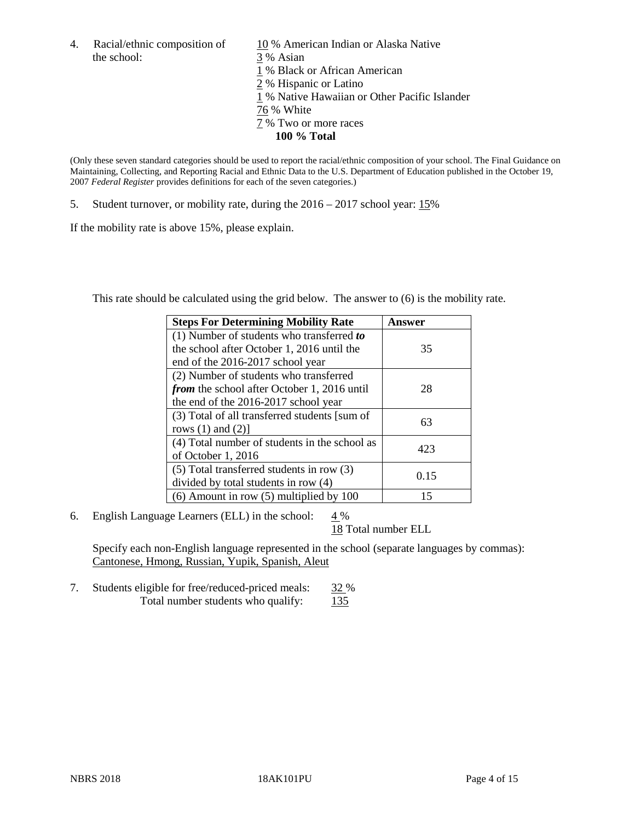the school: 3 % Asian

4. Racial/ethnic composition of  $10\%$  American Indian or Alaska Native 1 % Black or African American 2 % Hispanic or Latino 1 % Native Hawaiian or Other Pacific Islander 76 % White 7 % Two or more races **100 % Total**

(Only these seven standard categories should be used to report the racial/ethnic composition of your school. The Final Guidance on Maintaining, Collecting, and Reporting Racial and Ethnic Data to the U.S. Department of Education published in the October 19, 2007 *Federal Register* provides definitions for each of the seven categories.)

5. Student turnover, or mobility rate, during the 2016 – 2017 school year: 15%

If the mobility rate is above 15%, please explain.

This rate should be calculated using the grid below. The answer to (6) is the mobility rate.

| <b>Steps For Determining Mobility Rate</b>         | Answer |
|----------------------------------------------------|--------|
| (1) Number of students who transferred to          |        |
| the school after October 1, 2016 until the         | 35     |
| end of the 2016-2017 school year                   |        |
| (2) Number of students who transferred             |        |
| <i>from</i> the school after October 1, 2016 until | 28     |
| the end of the 2016-2017 school year               |        |
| (3) Total of all transferred students [sum of      | 63     |
| rows $(1)$ and $(2)$ ]                             |        |
| (4) Total number of students in the school as      |        |
| of October 1, 2016                                 | 423    |
| $(5)$ Total transferred students in row $(3)$      |        |
| divided by total students in row (4)               | 0.15   |
| $(6)$ Amount in row $(5)$ multiplied by 100        | 15     |

6. English Language Learners (ELL) in the school:  $4\%$ 

18 Total number ELL

Specify each non-English language represented in the school (separate languages by commas): Cantonese, Hmong, Russian, Yupik, Spanish, Aleut

7. Students eligible for free/reduced-priced meals: 32 % Total number students who qualify: 135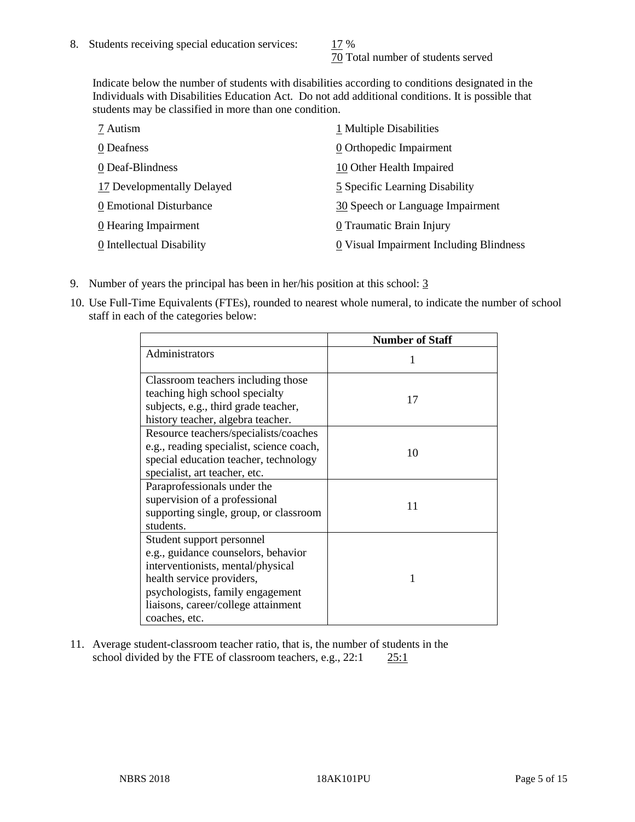70 Total number of students served

Indicate below the number of students with disabilities according to conditions designated in the Individuals with Disabilities Education Act. Do not add additional conditions. It is possible that students may be classified in more than one condition.

| 7 Autism                   | 1 Multiple Disabilities                 |
|----------------------------|-----------------------------------------|
| 0 Deafness                 | 0 Orthopedic Impairment                 |
| 0 Deaf-Blindness           | 10 Other Health Impaired                |
| 17 Developmentally Delayed | 5 Specific Learning Disability          |
| 0 Emotional Disturbance    | 30 Speech or Language Impairment        |
| 0 Hearing Impairment       | 0 Traumatic Brain Injury                |
| 0 Intellectual Disability  | 0 Visual Impairment Including Blindness |

- 9. Number of years the principal has been in her/his position at this school: 3
- 10. Use Full-Time Equivalents (FTEs), rounded to nearest whole numeral, to indicate the number of school staff in each of the categories below:

|                                                                                                                                                                                                                                | <b>Number of Staff</b> |
|--------------------------------------------------------------------------------------------------------------------------------------------------------------------------------------------------------------------------------|------------------------|
| Administrators                                                                                                                                                                                                                 |                        |
| Classroom teachers including those<br>teaching high school specialty<br>subjects, e.g., third grade teacher,<br>history teacher, algebra teacher.                                                                              | 17                     |
| Resource teachers/specialists/coaches<br>e.g., reading specialist, science coach,<br>special education teacher, technology<br>specialist, art teacher, etc.                                                                    | 10                     |
| Paraprofessionals under the<br>supervision of a professional<br>supporting single, group, or classroom<br>students.                                                                                                            | 11                     |
| Student support personnel<br>e.g., guidance counselors, behavior<br>interventionists, mental/physical<br>health service providers,<br>psychologists, family engagement<br>liaisons, career/college attainment<br>coaches, etc. | 1                      |

11. Average student-classroom teacher ratio, that is, the number of students in the school divided by the FTE of classroom teachers, e.g., 22:1 25:1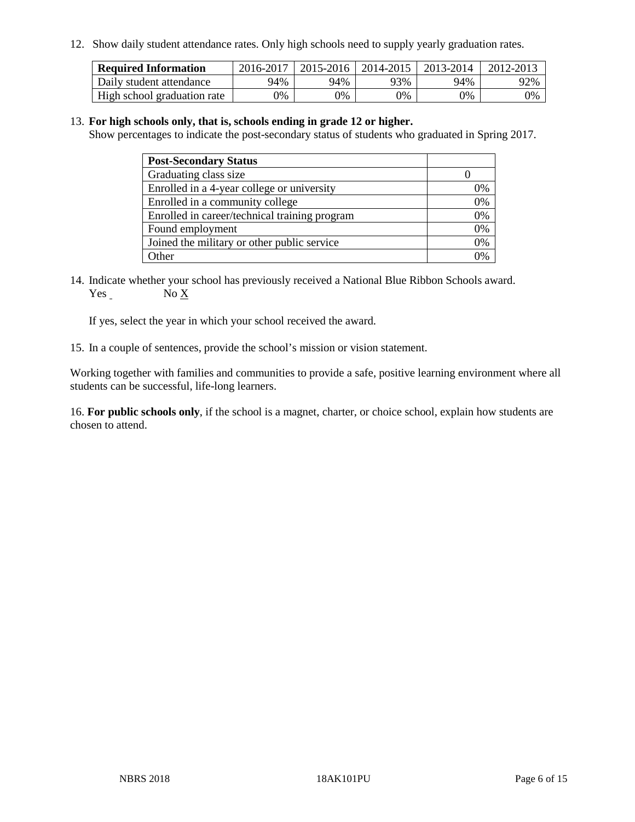12. Show daily student attendance rates. Only high schools need to supply yearly graduation rates.

| <b>Required Information</b> | 2016-2017 | $2015 - 2016$ | 2014-2015 | 2013-2014 | 2012-2013 |
|-----------------------------|-----------|---------------|-----------|-----------|-----------|
| Daily student attendance    | 94%       | 94%           | 93%       | 94%       | 92%       |
| High school graduation rate | 0%        | 0%            | 0%        | 9%        | 0%        |

#### 13. **For high schools only, that is, schools ending in grade 12 or higher.**

Show percentages to indicate the post-secondary status of students who graduated in Spring 2017.

| <b>Post-Secondary Status</b>                  |    |
|-----------------------------------------------|----|
| Graduating class size                         |    |
| Enrolled in a 4-year college or university    | 0% |
| Enrolled in a community college               | 0% |
| Enrolled in career/technical training program | 0% |
| Found employment                              | 0% |
| Joined the military or other public service   | 0% |
| Other                                         | ገ% |

14. Indicate whether your school has previously received a National Blue Ribbon Schools award. Yes No X

If yes, select the year in which your school received the award.

15. In a couple of sentences, provide the school's mission or vision statement.

Working together with families and communities to provide a safe, positive learning environment where all students can be successful, life-long learners.

16. **For public schools only**, if the school is a magnet, charter, or choice school, explain how students are chosen to attend.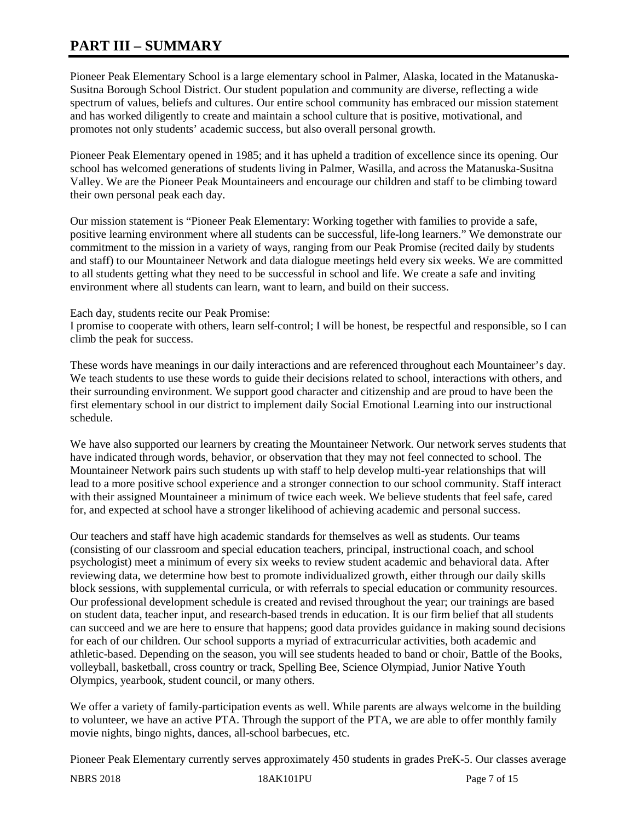# **PART III – SUMMARY**

Pioneer Peak Elementary School is a large elementary school in Palmer, Alaska, located in the Matanuska-Susitna Borough School District. Our student population and community are diverse, reflecting a wide spectrum of values, beliefs and cultures. Our entire school community has embraced our mission statement and has worked diligently to create and maintain a school culture that is positive, motivational, and promotes not only students' academic success, but also overall personal growth.

Pioneer Peak Elementary opened in 1985; and it has upheld a tradition of excellence since its opening. Our school has welcomed generations of students living in Palmer, Wasilla, and across the Matanuska-Susitna Valley. We are the Pioneer Peak Mountaineers and encourage our children and staff to be climbing toward their own personal peak each day.

Our mission statement is "Pioneer Peak Elementary: Working together with families to provide a safe, positive learning environment where all students can be successful, life-long learners." We demonstrate our commitment to the mission in a variety of ways, ranging from our Peak Promise (recited daily by students and staff) to our Mountaineer Network and data dialogue meetings held every six weeks. We are committed to all students getting what they need to be successful in school and life. We create a safe and inviting environment where all students can learn, want to learn, and build on their success.

### Each day, students recite our Peak Promise:

I promise to cooperate with others, learn self-control; I will be honest, be respectful and responsible, so I can climb the peak for success.

These words have meanings in our daily interactions and are referenced throughout each Mountaineer's day. We teach students to use these words to guide their decisions related to school, interactions with others, and their surrounding environment. We support good character and citizenship and are proud to have been the first elementary school in our district to implement daily Social Emotional Learning into our instructional schedule.

We have also supported our learners by creating the Mountaineer Network. Our network serves students that have indicated through words, behavior, or observation that they may not feel connected to school. The Mountaineer Network pairs such students up with staff to help develop multi-year relationships that will lead to a more positive school experience and a stronger connection to our school community. Staff interact with their assigned Mountaineer a minimum of twice each week. We believe students that feel safe, cared for, and expected at school have a stronger likelihood of achieving academic and personal success.

Our teachers and staff have high academic standards for themselves as well as students. Our teams (consisting of our classroom and special education teachers, principal, instructional coach, and school psychologist) meet a minimum of every six weeks to review student academic and behavioral data. After reviewing data, we determine how best to promote individualized growth, either through our daily skills block sessions, with supplemental curricula, or with referrals to special education or community resources. Our professional development schedule is created and revised throughout the year; our trainings are based on student data, teacher input, and research-based trends in education. It is our firm belief that all students can succeed and we are here to ensure that happens; good data provides guidance in making sound decisions for each of our children. Our school supports a myriad of extracurricular activities, both academic and athletic-based. Depending on the season, you will see students headed to band or choir, Battle of the Books, volleyball, basketball, cross country or track, Spelling Bee, Science Olympiad, Junior Native Youth Olympics, yearbook, student council, or many others.

We offer a variety of family-participation events as well. While parents are always welcome in the building to volunteer, we have an active PTA. Through the support of the PTA, we are able to offer monthly family movie nights, bingo nights, dances, all-school barbecues, etc.

Pioneer Peak Elementary currently serves approximately 450 students in grades PreK-5. Our classes average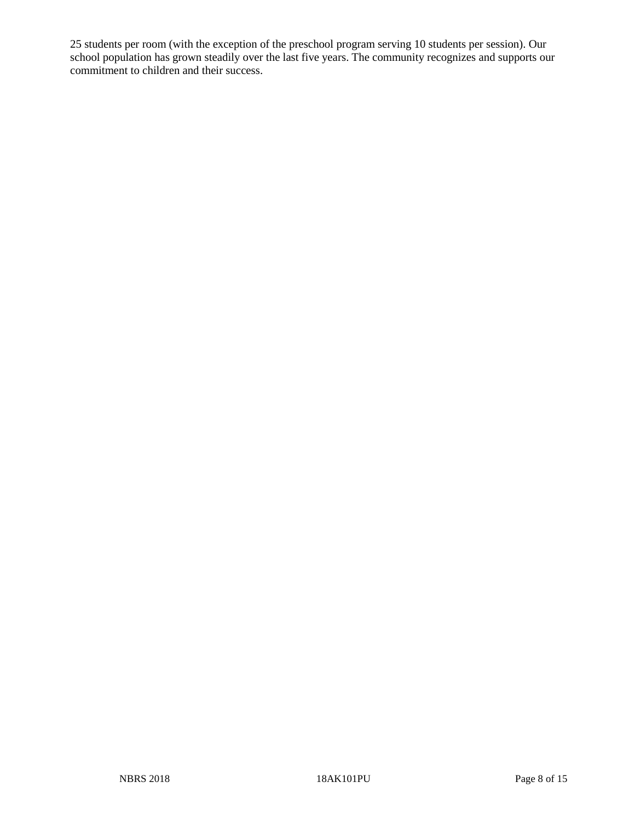25 students per room (with the exception of the preschool program serving 10 students per session). Our school population has grown steadily over the last five years. The community recognizes and supports our commitment to children and their success.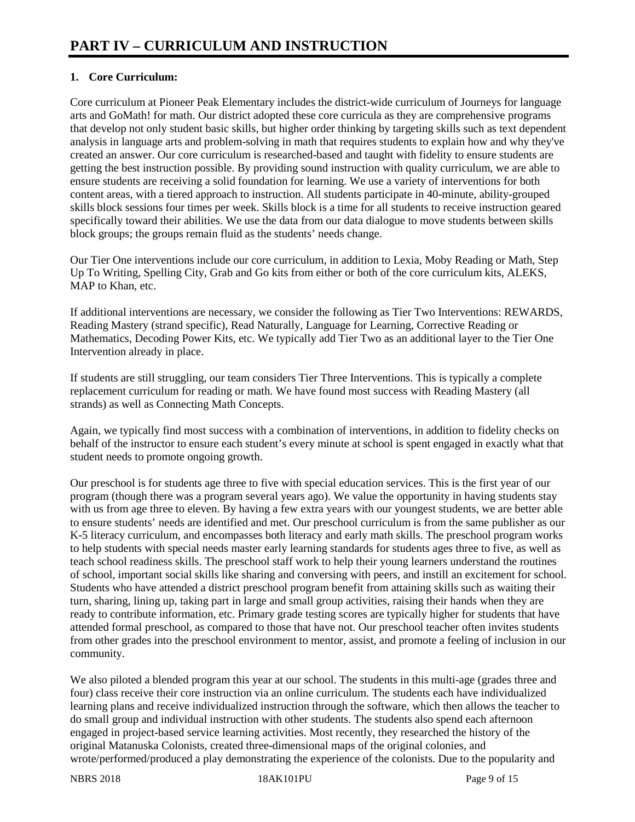# **1. Core Curriculum:**

Core curriculum at Pioneer Peak Elementary includes the district-wide curriculum of Journeys for language arts and GoMath! for math. Our district adopted these core curricula as they are comprehensive programs that develop not only student basic skills, but higher order thinking by targeting skills such as text dependent analysis in language arts and problem-solving in math that requires students to explain how and why they've created an answer. Our core curriculum is researched-based and taught with fidelity to ensure students are getting the best instruction possible. By providing sound instruction with quality curriculum, we are able to ensure students are receiving a solid foundation for learning. We use a variety of interventions for both content areas, with a tiered approach to instruction. All students participate in 40-minute, ability-grouped skills block sessions four times per week. Skills block is a time for all students to receive instruction geared specifically toward their abilities. We use the data from our data dialogue to move students between skills block groups; the groups remain fluid as the students' needs change.

Our Tier One interventions include our core curriculum, in addition to Lexia, Moby Reading or Math, Step Up To Writing, Spelling City, Grab and Go kits from either or both of the core curriculum kits, ALEKS, MAP to Khan, etc.

If additional interventions are necessary, we consider the following as Tier Two Interventions: REWARDS, Reading Mastery (strand specific), Read Naturally, Language for Learning, Corrective Reading or Mathematics, Decoding Power Kits, etc. We typically add Tier Two as an additional layer to the Tier One Intervention already in place.

If students are still struggling, our team considers Tier Three Interventions. This is typically a complete replacement curriculum for reading or math. We have found most success with Reading Mastery (all strands) as well as Connecting Math Concepts.

Again, we typically find most success with a combination of interventions, in addition to fidelity checks on behalf of the instructor to ensure each student's every minute at school is spent engaged in exactly what that student needs to promote ongoing growth.

Our preschool is for students age three to five with special education services. This is the first year of our program (though there was a program several years ago). We value the opportunity in having students stay with us from age three to eleven. By having a few extra years with our youngest students, we are better able to ensure students' needs are identified and met. Our preschool curriculum is from the same publisher as our K-5 literacy curriculum, and encompasses both literacy and early math skills. The preschool program works to help students with special needs master early learning standards for students ages three to five, as well as teach school readiness skills. The preschool staff work to help their young learners understand the routines of school, important social skills like sharing and conversing with peers, and instill an excitement for school. Students who have attended a district preschool program benefit from attaining skills such as waiting their turn, sharing, lining up, taking part in large and small group activities, raising their hands when they are ready to contribute information, etc. Primary grade testing scores are typically higher for students that have attended formal preschool, as compared to those that have not. Our preschool teacher often invites students from other grades into the preschool environment to mentor, assist, and promote a feeling of inclusion in our community.

We also piloted a blended program this year at our school. The students in this multi-age (grades three and four) class receive their core instruction via an online curriculum. The students each have individualized learning plans and receive individualized instruction through the software, which then allows the teacher to do small group and individual instruction with other students. The students also spend each afternoon engaged in project-based service learning activities. Most recently, they researched the history of the original Matanuska Colonists, created three-dimensional maps of the original colonies, and wrote/performed/produced a play demonstrating the experience of the colonists. Due to the popularity and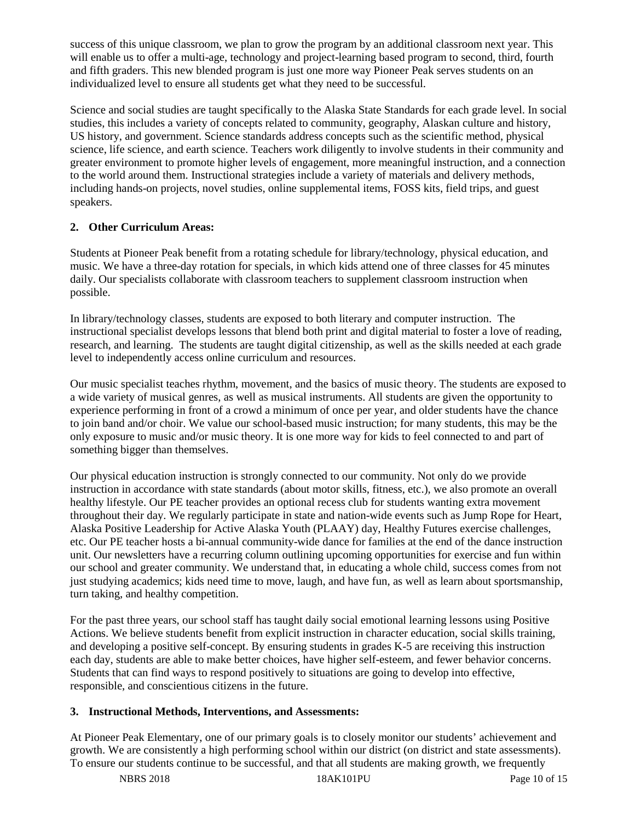success of this unique classroom, we plan to grow the program by an additional classroom next year. This will enable us to offer a multi-age, technology and project-learning based program to second, third, fourth and fifth graders. This new blended program is just one more way Pioneer Peak serves students on an individualized level to ensure all students get what they need to be successful.

Science and social studies are taught specifically to the Alaska State Standards for each grade level. In social studies, this includes a variety of concepts related to community, geography, Alaskan culture and history, US history, and government. Science standards address concepts such as the scientific method, physical science, life science, and earth science. Teachers work diligently to involve students in their community and greater environment to promote higher levels of engagement, more meaningful instruction, and a connection to the world around them. Instructional strategies include a variety of materials and delivery methods, including hands-on projects, novel studies, online supplemental items, FOSS kits, field trips, and guest speakers.

## **2. Other Curriculum Areas:**

Students at Pioneer Peak benefit from a rotating schedule for library/technology, physical education, and music. We have a three-day rotation for specials, in which kids attend one of three classes for 45 minutes daily. Our specialists collaborate with classroom teachers to supplement classroom instruction when possible.

In library/technology classes, students are exposed to both literary and computer instruction. The instructional specialist develops lessons that blend both print and digital material to foster a love of reading, research, and learning. The students are taught digital citizenship, as well as the skills needed at each grade level to independently access online curriculum and resources.

Our music specialist teaches rhythm, movement, and the basics of music theory. The students are exposed to a wide variety of musical genres, as well as musical instruments. All students are given the opportunity to experience performing in front of a crowd a minimum of once per year, and older students have the chance to join band and/or choir. We value our school-based music instruction; for many students, this may be the only exposure to music and/or music theory. It is one more way for kids to feel connected to and part of something bigger than themselves.

Our physical education instruction is strongly connected to our community. Not only do we provide instruction in accordance with state standards (about motor skills, fitness, etc.), we also promote an overall healthy lifestyle. Our PE teacher provides an optional recess club for students wanting extra movement throughout their day. We regularly participate in state and nation-wide events such as Jump Rope for Heart, Alaska Positive Leadership for Active Alaska Youth (PLAAY) day, Healthy Futures exercise challenges, etc. Our PE teacher hosts a bi-annual community-wide dance for families at the end of the dance instruction unit. Our newsletters have a recurring column outlining upcoming opportunities for exercise and fun within our school and greater community. We understand that, in educating a whole child, success comes from not just studying academics; kids need time to move, laugh, and have fun, as well as learn about sportsmanship, turn taking, and healthy competition.

For the past three years, our school staff has taught daily social emotional learning lessons using Positive Actions. We believe students benefit from explicit instruction in character education, social skills training, and developing a positive self-concept. By ensuring students in grades K-5 are receiving this instruction each day, students are able to make better choices, have higher self-esteem, and fewer behavior concerns. Students that can find ways to respond positively to situations are going to develop into effective, responsible, and conscientious citizens in the future.

# **3. Instructional Methods, Interventions, and Assessments:**

At Pioneer Peak Elementary, one of our primary goals is to closely monitor our students' achievement and growth. We are consistently a high performing school within our district (on district and state assessments). To ensure our students continue to be successful, and that all students are making growth, we frequently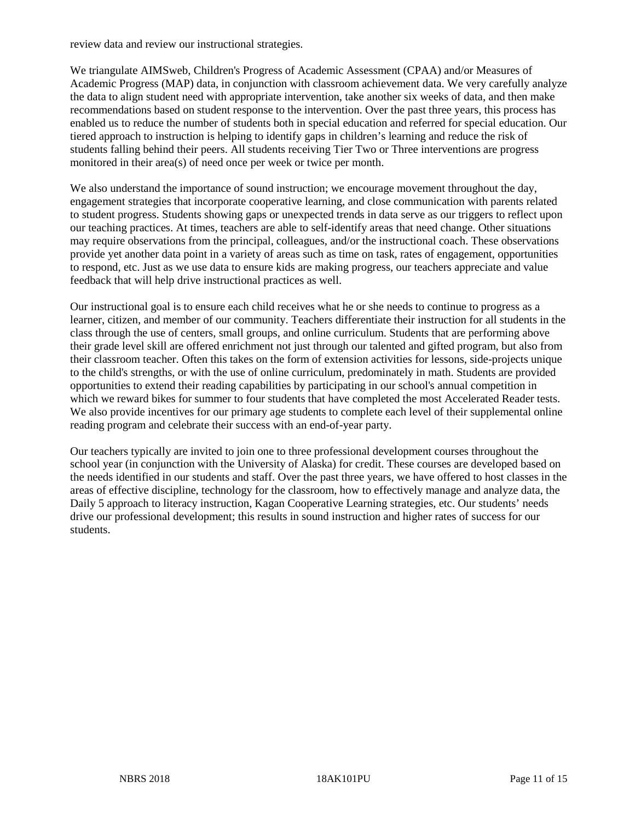review data and review our instructional strategies.

We triangulate AIMSweb, Children's Progress of Academic Assessment (CPAA) and/or Measures of Academic Progress (MAP) data, in conjunction with classroom achievement data. We very carefully analyze the data to align student need with appropriate intervention, take another six weeks of data, and then make recommendations based on student response to the intervention. Over the past three years, this process has enabled us to reduce the number of students both in special education and referred for special education. Our tiered approach to instruction is helping to identify gaps in children's learning and reduce the risk of students falling behind their peers. All students receiving Tier Two or Three interventions are progress monitored in their area(s) of need once per week or twice per month.

We also understand the importance of sound instruction; we encourage movement throughout the day, engagement strategies that incorporate cooperative learning, and close communication with parents related to student progress. Students showing gaps or unexpected trends in data serve as our triggers to reflect upon our teaching practices. At times, teachers are able to self-identify areas that need change. Other situations may require observations from the principal, colleagues, and/or the instructional coach. These observations provide yet another data point in a variety of areas such as time on task, rates of engagement, opportunities to respond, etc. Just as we use data to ensure kids are making progress, our teachers appreciate and value feedback that will help drive instructional practices as well.

Our instructional goal is to ensure each child receives what he or she needs to continue to progress as a learner, citizen, and member of our community. Teachers differentiate their instruction for all students in the class through the use of centers, small groups, and online curriculum. Students that are performing above their grade level skill are offered enrichment not just through our talented and gifted program, but also from their classroom teacher. Often this takes on the form of extension activities for lessons, side-projects unique to the child's strengths, or with the use of online curriculum, predominately in math. Students are provided opportunities to extend their reading capabilities by participating in our school's annual competition in which we reward bikes for summer to four students that have completed the most Accelerated Reader tests. We also provide incentives for our primary age students to complete each level of their supplemental online reading program and celebrate their success with an end-of-year party.

Our teachers typically are invited to join one to three professional development courses throughout the school year (in conjunction with the University of Alaska) for credit. These courses are developed based on the needs identified in our students and staff. Over the past three years, we have offered to host classes in the areas of effective discipline, technology for the classroom, how to effectively manage and analyze data, the Daily 5 approach to literacy instruction, Kagan Cooperative Learning strategies, etc. Our students' needs drive our professional development; this results in sound instruction and higher rates of success for our students.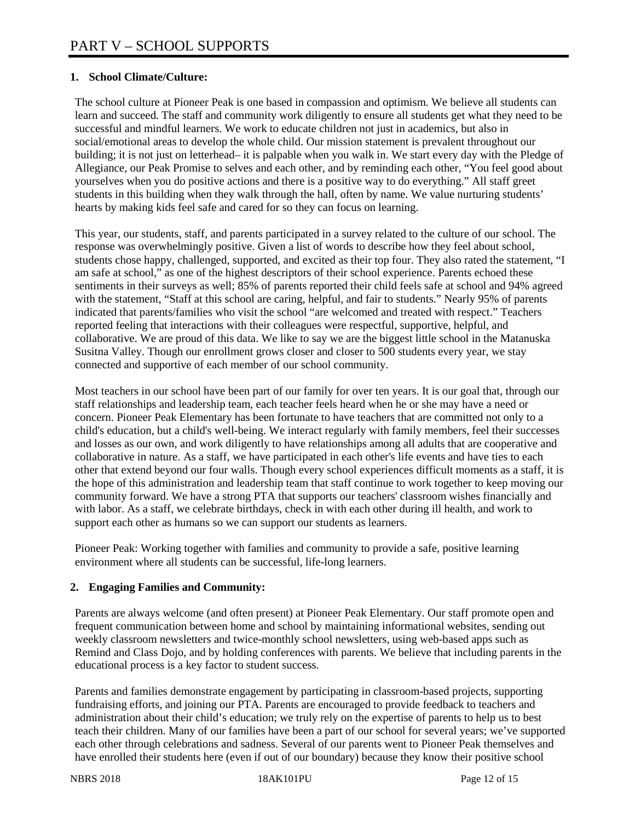## **1. School Climate/Culture:**

The school culture at Pioneer Peak is one based in compassion and optimism. We believe all students can learn and succeed. The staff and community work diligently to ensure all students get what they need to be successful and mindful learners. We work to educate children not just in academics, but also in social/emotional areas to develop the whole child. Our mission statement is prevalent throughout our building; it is not just on letterhead– it is palpable when you walk in. We start every day with the Pledge of Allegiance, our Peak Promise to selves and each other, and by reminding each other, "You feel good about yourselves when you do positive actions and there is a positive way to do everything." All staff greet students in this building when they walk through the hall, often by name. We value nurturing students' hearts by making kids feel safe and cared for so they can focus on learning.

This year, our students, staff, and parents participated in a survey related to the culture of our school. The response was overwhelmingly positive. Given a list of words to describe how they feel about school, students chose happy, challenged, supported, and excited as their top four. They also rated the statement, "I am safe at school," as one of the highest descriptors of their school experience. Parents echoed these sentiments in their surveys as well; 85% of parents reported their child feels safe at school and 94% agreed with the statement, "Staff at this school are caring, helpful, and fair to students." Nearly 95% of parents indicated that parents/families who visit the school "are welcomed and treated with respect." Teachers reported feeling that interactions with their colleagues were respectful, supportive, helpful, and collaborative. We are proud of this data. We like to say we are the biggest little school in the Matanuska Susitna Valley. Though our enrollment grows closer and closer to 500 students every year, we stay connected and supportive of each member of our school community.

Most teachers in our school have been part of our family for over ten years. It is our goal that, through our staff relationships and leadership team, each teacher feels heard when he or she may have a need or concern. Pioneer Peak Elementary has been fortunate to have teachers that are committed not only to a child's education, but a child's well-being. We interact regularly with family members, feel their successes and losses as our own, and work diligently to have relationships among all adults that are cooperative and collaborative in nature. As a staff, we have participated in each other's life events and have ties to each other that extend beyond our four walls. Though every school experiences difficult moments as a staff, it is the hope of this administration and leadership team that staff continue to work together to keep moving our community forward. We have a strong PTA that supports our teachers' classroom wishes financially and with labor. As a staff, we celebrate birthdays, check in with each other during ill health, and work to support each other as humans so we can support our students as learners.

Pioneer Peak: Working together with families and community to provide a safe, positive learning environment where all students can be successful, life-long learners.

### **2. Engaging Families and Community:**

Parents are always welcome (and often present) at Pioneer Peak Elementary. Our staff promote open and frequent communication between home and school by maintaining informational websites, sending out weekly classroom newsletters and twice-monthly school newsletters, using web-based apps such as Remind and Class Dojo, and by holding conferences with parents. We believe that including parents in the educational process is a key factor to student success.

Parents and families demonstrate engagement by participating in classroom-based projects, supporting fundraising efforts, and joining our PTA. Parents are encouraged to provide feedback to teachers and administration about their child's education; we truly rely on the expertise of parents to help us to best teach their children. Many of our families have been a part of our school for several years; we've supported each other through celebrations and sadness. Several of our parents went to Pioneer Peak themselves and have enrolled their students here (even if out of our boundary) because they know their positive school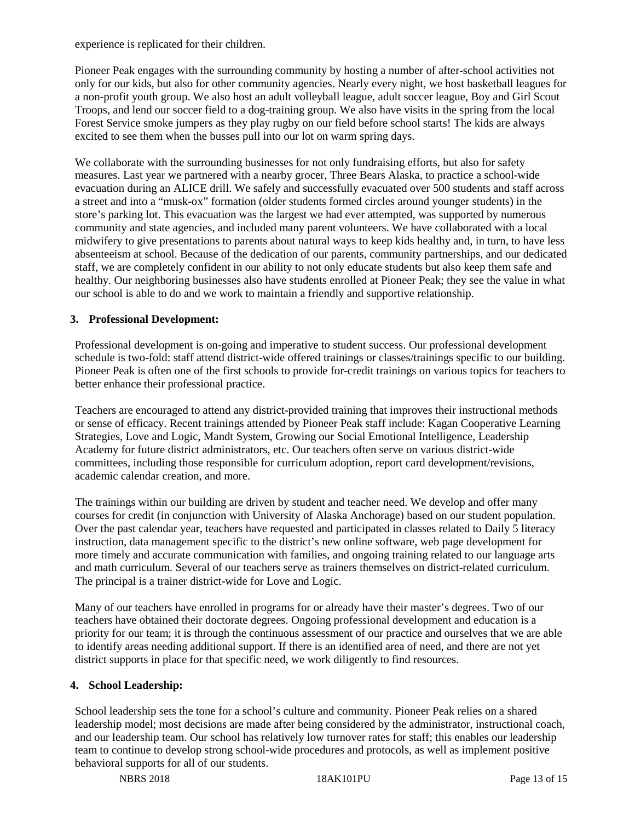experience is replicated for their children.

Pioneer Peak engages with the surrounding community by hosting a number of after-school activities not only for our kids, but also for other community agencies. Nearly every night, we host basketball leagues for a non-profit youth group. We also host an adult volleyball league, adult soccer league, Boy and Girl Scout Troops, and lend our soccer field to a dog-training group. We also have visits in the spring from the local Forest Service smoke jumpers as they play rugby on our field before school starts! The kids are always excited to see them when the busses pull into our lot on warm spring days.

We collaborate with the surrounding businesses for not only fundraising efforts, but also for safety measures. Last year we partnered with a nearby grocer, Three Bears Alaska, to practice a school-wide evacuation during an ALICE drill. We safely and successfully evacuated over 500 students and staff across a street and into a "musk-ox" formation (older students formed circles around younger students) in the store's parking lot. This evacuation was the largest we had ever attempted, was supported by numerous community and state agencies, and included many parent volunteers. We have collaborated with a local midwifery to give presentations to parents about natural ways to keep kids healthy and, in turn, to have less absenteeism at school. Because of the dedication of our parents, community partnerships, and our dedicated staff, we are completely confident in our ability to not only educate students but also keep them safe and healthy. Our neighboring businesses also have students enrolled at Pioneer Peak; they see the value in what our school is able to do and we work to maintain a friendly and supportive relationship.

### **3. Professional Development:**

Professional development is on-going and imperative to student success. Our professional development schedule is two-fold: staff attend district-wide offered trainings or classes/trainings specific to our building. Pioneer Peak is often one of the first schools to provide for-credit trainings on various topics for teachers to better enhance their professional practice.

Teachers are encouraged to attend any district-provided training that improves their instructional methods or sense of efficacy. Recent trainings attended by Pioneer Peak staff include: Kagan Cooperative Learning Strategies, Love and Logic, Mandt System, Growing our Social Emotional Intelligence, Leadership Academy for future district administrators, etc. Our teachers often serve on various district-wide committees, including those responsible for curriculum adoption, report card development/revisions, academic calendar creation, and more.

The trainings within our building are driven by student and teacher need. We develop and offer many courses for credit (in conjunction with University of Alaska Anchorage) based on our student population. Over the past calendar year, teachers have requested and participated in classes related to Daily 5 literacy instruction, data management specific to the district's new online software, web page development for more timely and accurate communication with families, and ongoing training related to our language arts and math curriculum. Several of our teachers serve as trainers themselves on district-related curriculum. The principal is a trainer district-wide for Love and Logic.

Many of our teachers have enrolled in programs for or already have their master's degrees. Two of our teachers have obtained their doctorate degrees. Ongoing professional development and education is a priority for our team; it is through the continuous assessment of our practice and ourselves that we are able to identify areas needing additional support. If there is an identified area of need, and there are not yet district supports in place for that specific need, we work diligently to find resources.

## **4. School Leadership:**

School leadership sets the tone for a school's culture and community. Pioneer Peak relies on a shared leadership model; most decisions are made after being considered by the administrator, instructional coach, and our leadership team. Our school has relatively low turnover rates for staff; this enables our leadership team to continue to develop strong school-wide procedures and protocols, as well as implement positive behavioral supports for all of our students.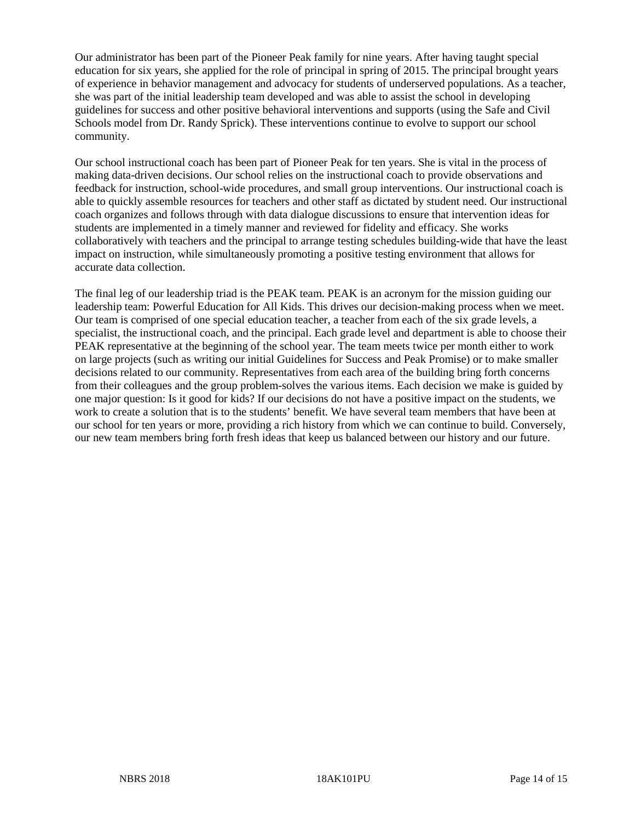Our administrator has been part of the Pioneer Peak family for nine years. After having taught special education for six years, she applied for the role of principal in spring of 2015. The principal brought years of experience in behavior management and advocacy for students of underserved populations. As a teacher, she was part of the initial leadership team developed and was able to assist the school in developing guidelines for success and other positive behavioral interventions and supports (using the Safe and Civil Schools model from Dr. Randy Sprick). These interventions continue to evolve to support our school community.

Our school instructional coach has been part of Pioneer Peak for ten years. She is vital in the process of making data-driven decisions. Our school relies on the instructional coach to provide observations and feedback for instruction, school-wide procedures, and small group interventions. Our instructional coach is able to quickly assemble resources for teachers and other staff as dictated by student need. Our instructional coach organizes and follows through with data dialogue discussions to ensure that intervention ideas for students are implemented in a timely manner and reviewed for fidelity and efficacy. She works collaboratively with teachers and the principal to arrange testing schedules building-wide that have the least impact on instruction, while simultaneously promoting a positive testing environment that allows for accurate data collection.

The final leg of our leadership triad is the PEAK team. PEAK is an acronym for the mission guiding our leadership team: Powerful Education for All Kids. This drives our decision-making process when we meet. Our team is comprised of one special education teacher, a teacher from each of the six grade levels, a specialist, the instructional coach, and the principal. Each grade level and department is able to choose their PEAK representative at the beginning of the school year. The team meets twice per month either to work on large projects (such as writing our initial Guidelines for Success and Peak Promise) or to make smaller decisions related to our community. Representatives from each area of the building bring forth concerns from their colleagues and the group problem-solves the various items. Each decision we make is guided by one major question: Is it good for kids? If our decisions do not have a positive impact on the students, we work to create a solution that is to the students' benefit. We have several team members that have been at our school for ten years or more, providing a rich history from which we can continue to build. Conversely, our new team members bring forth fresh ideas that keep us balanced between our history and our future.